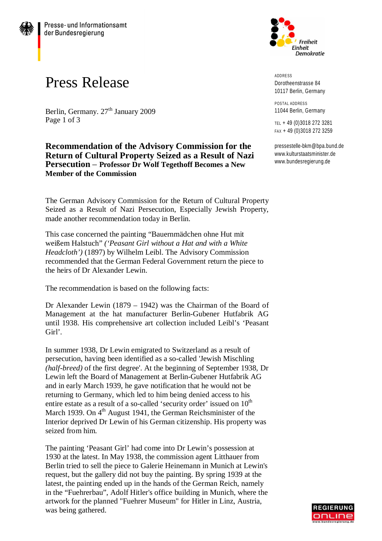

Berlin, Germany. 27<sup>th</sup> January 2009 Page 1 of 3

**Recommendation of the Advisory Commission for the Return of Cultural Property Seized as a Result of Nazi Persecution** – **Professor Dr Wolf Tegethoff Becomes a New Member of the Commission**

The German Advisory Commission for the Return of Cultural Property Seized as a Result of Nazi Persecution, Especially Jewish Property, made another recommendation today in Berlin.

This case concerned the painting "Bauernmädchen ohne Hut mit weißem Halstuch" *('Peasant Girl without a Hat and with a White Headcloth')* (1897) by Wilhelm Leibl. The Advisory Commission recommended that the German Federal Government return the piece to the heirs of Dr Alexander Lewin.

The recommendation is based on the following facts:

Dr Alexander Lewin (1879 – 1942) was the Chairman of the Board of Management at the hat manufacturer Berlin-Gubener Hutfabrik AG until 1938. His comprehensive art collection included Leibl's 'Peasant Girl'.

In summer 1938, Dr Lewin emigrated to Switzerland as a result of persecution, having been identified as a so-called 'Jewish Mischling *(half-breed)* of the first degree'. At the beginning of September 1938, Dr Lewin left the Board of Management at Berlin-Gubener Hutfabrik AG and in early March 1939, he gave notification that he would not be returning to Germany, which led to him being denied access to his entire estate as a result of a so-called 'security order' issued on  $10<sup>th</sup>$ March 1939. On  $4<sup>th</sup>$  August 1941, the German Reichsminister of the Interior deprived Dr Lewin of his German citizenship. His property was seized from him.

The painting 'Peasant Girl' had come into Dr Lewin's possession at 1930 at the latest. In May 1938, the commission agent Litthauer from Berlin tried to sell the piece to Galerie Heinemann in Munich at Lewin's request, but the gallery did not buy the painting. By spring 1939 at the latest, the painting ended up in the hands of the German Reich, namely in the "Fuehrerbau", Adolf Hitler's office building in Munich, where the artwork for the planned "Fuehrer Museum" for Hitler in Linz, Austria, was being gathered.



ADDRESS Dorotheenstrasse 84 10117 Berlin, Germany

POSTAL ADDRESS 11044 Berlin, Germany

TEL + 49 (0)3018 272 3281 FAX + 49 (0)3018 272 3259

[pressestelle-bkm@bpa.bund.de](mailto:pressestelle-bkm@bpa.bund.de) [www.kulturstaatsminister.de](http://www.kulturstaatsminister.de) [www.bundesregierung.de](http://www.bundesregierung.de)

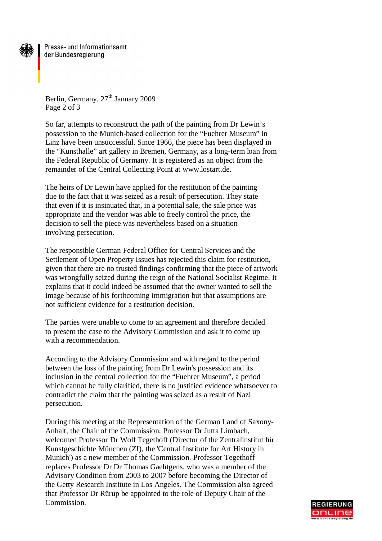

Presse- und Informationsamt der Bundesregierung

Berlin, Germany. 27<sup>th</sup> January 2009 Page 2 of 3

So far, attempts to reconstruct the path of the painting from Dr Lewin's possession to the Munich-based collection for the "Fuehrer Museum" in Linz have been unsuccessful. Since 1966, the piece has been displayed in the "Kunsthalle" art gallery in Bremen, Germany, as a long-term loan from the Federal Republic of Germany. It is registered as an object from the remainder of the Central Collecting Point at [www.lostart.de.](http://www.lostart.de.)

The heirs of Dr Lewin have applied for the restitution of the painting due to the fact that it was seized as a result of persecution. They state that even if it is insinuated that, in a potential sale, the sale price was appropriate and the vendor was able to freely control the price, the decision to sell the piece was nevertheless based on a situation involving persecution.

The responsible German Federal Office for Central Services and the Settlement of Open Property Issues has rejected this claim for restitution, given that there are no trusted findings confirming that the piece of artwork was wrongfully seized during the reign of the National Socialist Regime. It explains that it could indeed be assumed that the owner wanted to sell the image because of his forthcoming immigration but that assumptions are not sufficient evidence for a restitution decision.

The parties were unable to come to an agreement and therefore decided to present the case to the Advisory Commission and ask it to come up with a recommendation.

According to the Advisory Commission and with regard to the period between the loss of the painting from Dr Lewin's possession and its inclusion in the central collection for the "Fuehrer Museum", a period which cannot be fully clarified, there is no justified evidence whatsoever to contradict the claim that the painting was seized as a result of Nazi persecution.

During this meeting at the Representation of the German Land of Saxony-Anhalt, the Chair of the Commission, Professor Dr Jutta Limbach, welcomed Professor Dr Wolf Tegethoff (Director of the Zentralinstitut für Kunstgeschichte München (ZI), the 'Central Institute for Art History in Munich') as a new member of the Commission. Professor Tegethoff replaces Professor Dr Dr Thomas Gaehtgens, who was a member of the Advisory Condition from 2003 to 2007 before becoming the Director of the Getty Research Institute in Los Angeles. The Commission also agreed that Professor Dr Rürup be appointed to the role of Deputy Chair of the Commission.